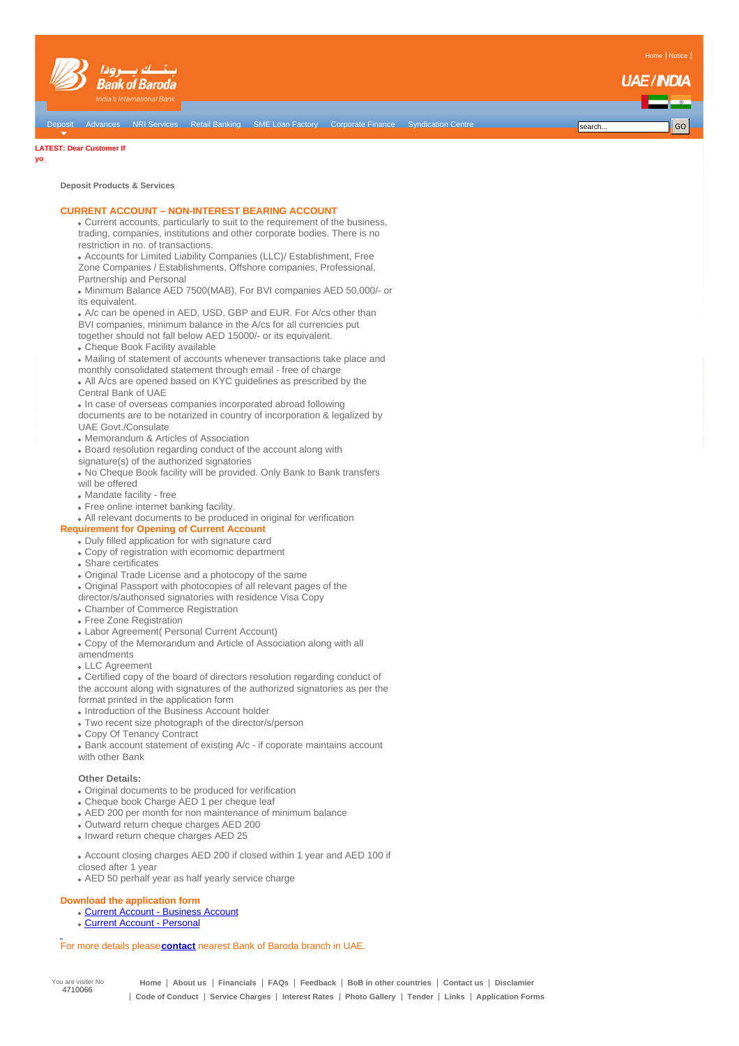

#### **LATEST: Dear [Customer](http://www.bankofbarodauae.ae/index.php?option=com_content&task=view&id=169&Itemid=0) If**

**yo\_**

**Deposit Products & Services**

## **CURRENT ACCOUNT – NON-INTEREST BEARING ACCOUNT**

Current accounts, particularly to suit to the requirement of the business, trading, companies, institutions and other corporate bodies. There is no restriction in no. of transactions.

Accounts for Limited Liability Companies (LLC)/ Establishment, Free Zone Companies / Establishments, Offshore companies, Professional, Partnership and Personal

Minimum Balance AED 7500(MAB), For BVI companies AED 50,000/- or its equivalent.

A/c can be opened in AED, USD, GBP and EUR. For A/cs other than BVI companies, minimum balance in the A/cs for all currencies put together should not fall below AED 15000/- or its equivalent.

Cheque Book Facility available

Mailing of statement of accounts whenever transactions take place and

monthly consolidated statement through email - free of charge All A/cs are opened based on KYC guidelines as prescribed by the

Central Bank of UAE

• In case of overseas companies incorporated abroad following documents are to be notarized in country of incorporation & legalized by UAE Govt./Consulate

- Memorandum & Articles of Association
- Board resolution regarding conduct of the account along with
- signature(s) of the authorized signatories

No Cheque Book facility will be provided. Only Bank to Bank transfers will be offered

- Mandate facility free
- Free online internet banking facility.

All relevant documents to be produced in original for verification

## **Requirement for Opening of Current Account**

- Duly filled application for with signature card
- Copy of registration with ecomomic department
- Share certificates
- Original Trade License and a photocopy of the same
- Original Passport with photocopies of all relevant pages of the
- director/s/authorised signatories with residence Visa Copy
- Chamber of Commerce Registration
- Free Zone Registration
- Labor Agreement( Personal Current Account)
- Copy of the Memorandum and Article of Association along with all
- amendments
- LLC Agreement

Certified copy of the board of directors resolution regarding conduct of the account along with signatures of the authorized signatories as per the format printed in the application form

- Introduction of the Business Account holder
- Two recent size photograph of the director/s/person
- Copy Of Tenancy Contract

Bank account statement of existing A/c - if coporate maintains account with other Bank

#### **Other Details:**

- Original documents to be produced for verification
- Cheque book Charge AED 1 per cheque leaf
- AED 200 per month for non maintenance of minimum balance
- Outward return cheque charges AED 200
- Inward return cheque charges AED 25

Account closing charges AED 200 if closed within 1 year and AED 100 if closed after 1 year

AED 50 perhalf year as half yearly service charge

### **Download the application form**

- Current Account [Business](http://www.bankofbarodauae.ae/images/forms/Account Opening form.pdf) Account
- Current Account [Persona](http://www.bankofbarodauae.ae/images/forms/AcOpeningFormIndivitual.pdf)l

For more details please**[contact](http://www.bankofbarodauae.ae/index.php?option=com_content&view=article&id=15&Itemid=74)** nearest Bank of Baroda branch in UAE.

You are visiter No 4710066